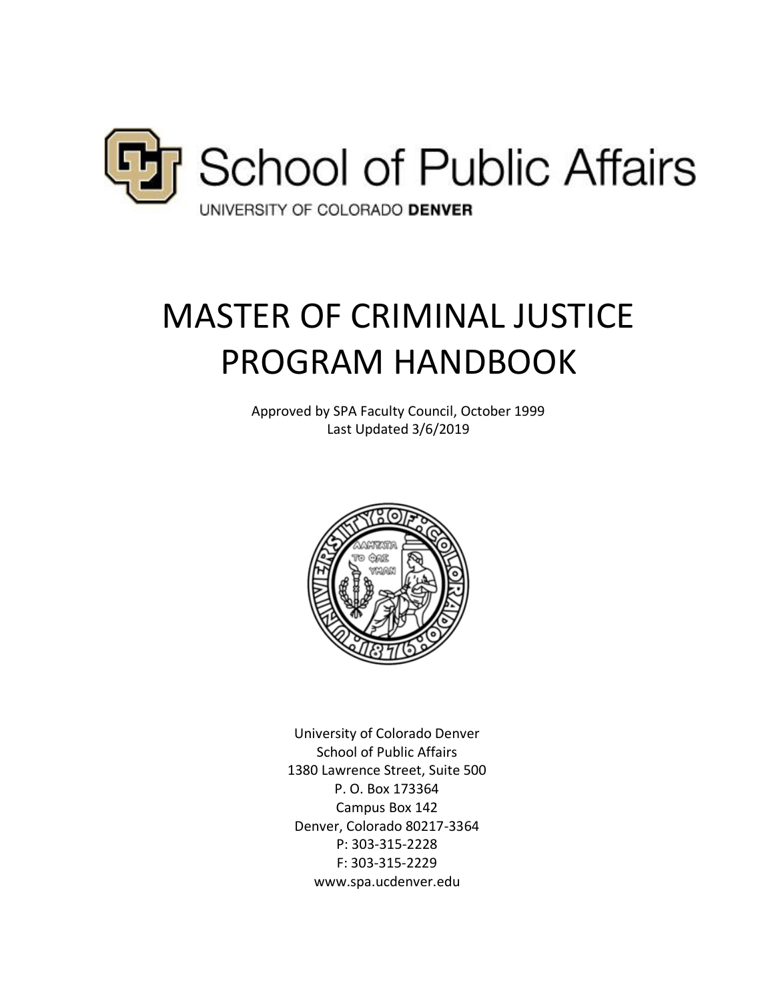

# MASTER OF CRIMINAL JUSTICE PROGRAM HANDBOOK

Approved by SPA Faculty Council, October 1999 Last Updated 3/6/2019



University of Colorado Denver School of Public Affairs 1380 Lawrence Street, Suite 500 P. O. Box 173364 Campus Box 142 Denver, Colorado 80217-3364 P: 303-315-2228 F: 303-315-2229 www.spa.ucdenver.edu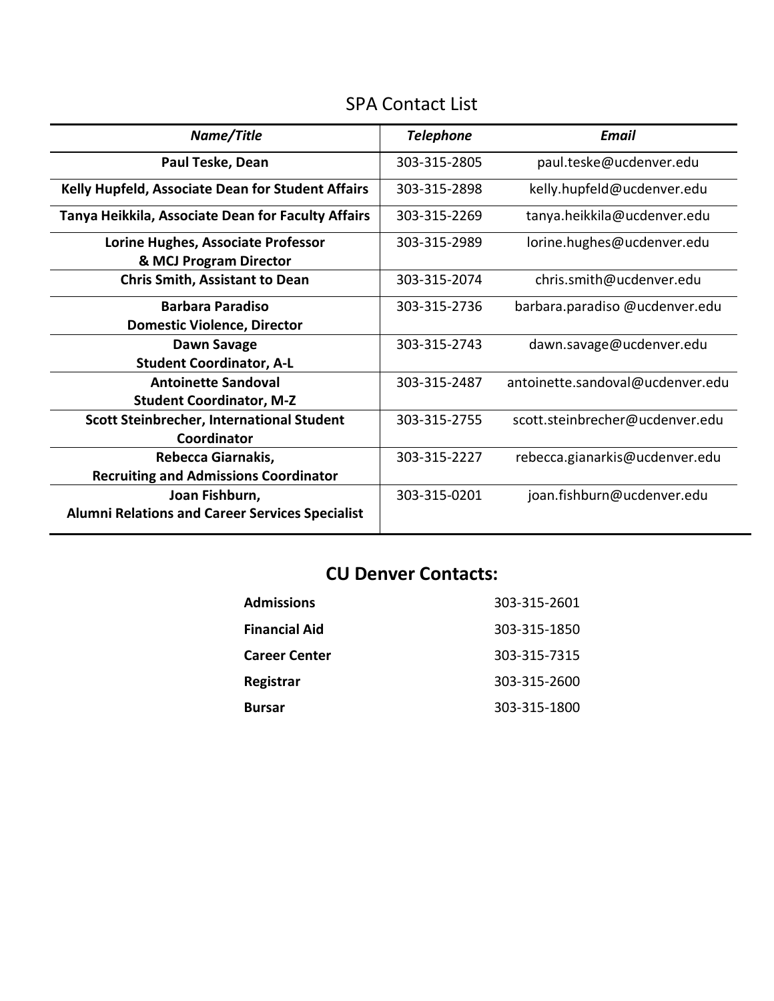## SPA Contact List

| Name/Title                                             | <b>Telephone</b> | <b>Email</b>                     |
|--------------------------------------------------------|------------------|----------------------------------|
| Paul Teske, Dean                                       | 303-315-2805     | paul.teske@ucdenver.edu          |
| Kelly Hupfeld, Associate Dean for Student Affairs      | 303-315-2898     | kelly.hupfeld@ucdenver.edu       |
| Tanya Heikkila, Associate Dean for Faculty Affairs     | 303-315-2269     | tanya.heikkila@ucdenver.edu      |
| Lorine Hughes, Associate Professor                     | 303-315-2989     | lorine.hughes@ucdenver.edu       |
| & MCJ Program Director                                 |                  |                                  |
| <b>Chris Smith, Assistant to Dean</b>                  | 303-315-2074     | chris.smith@ucdenver.edu         |
| <b>Barbara Paradiso</b>                                | 303-315-2736     | barbara.paradiso @ucdenver.edu   |
| <b>Domestic Violence, Director</b>                     |                  |                                  |
| Dawn Savage                                            | 303-315-2743     | dawn.savage@ucdenver.edu         |
| <b>Student Coordinator, A-L</b>                        |                  |                                  |
| <b>Antoinette Sandoval</b>                             | 303-315-2487     | antoinette.sandoval@ucdenver.edu |
| <b>Student Coordinator, M-Z</b>                        |                  |                                  |
| <b>Scott Steinbrecher, International Student</b>       | 303-315-2755     | scott.steinbrecher@ucdenver.edu  |
| Coordinator                                            |                  |                                  |
| Rebecca Giarnakis,                                     | 303-315-2227     | rebecca.gianarkis@ucdenver.edu   |
| <b>Recruiting and Admissions Coordinator</b>           |                  |                                  |
| Joan Fishburn,                                         | 303-315-0201     | joan.fishburn@ucdenver.edu       |
| <b>Alumni Relations and Career Services Specialist</b> |                  |                                  |

# **CU Denver Contacts:**

| <b>Admissions</b>    | 303-315-2601 |
|----------------------|--------------|
| <b>Financial Aid</b> | 303-315-1850 |
| <b>Career Center</b> | 303-315-7315 |
| Registrar            | 303-315-2600 |
| <b>Bursar</b>        | 303-315-1800 |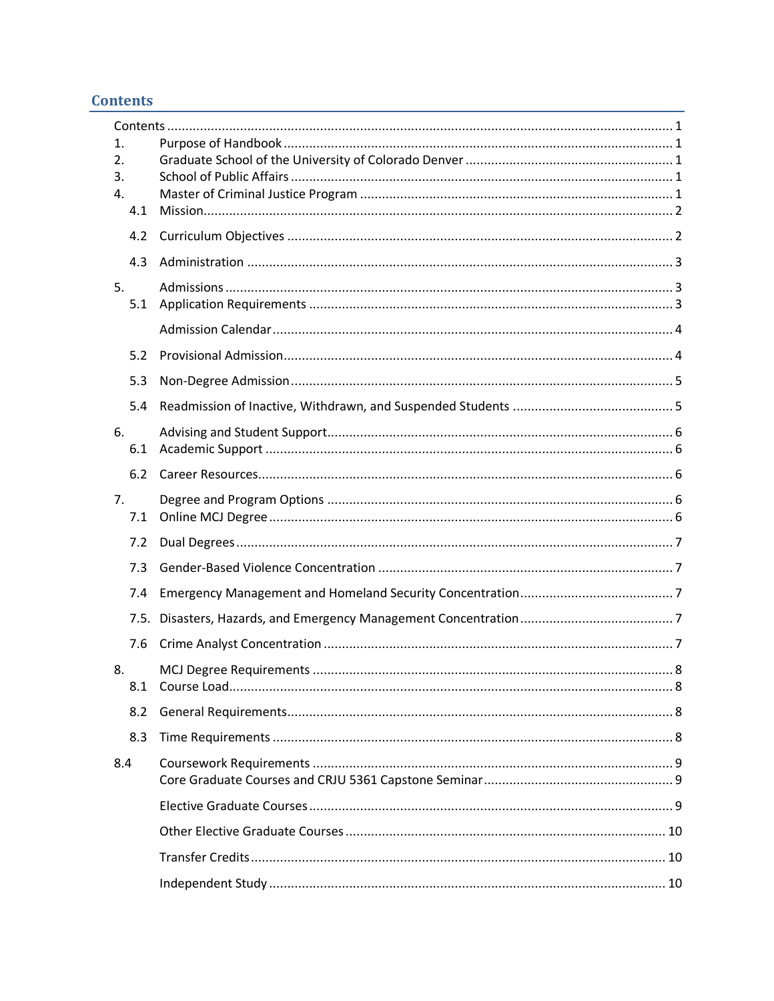## **Contents**

| 1.<br>2.  |  |
|-----------|--|
| 3.        |  |
| 4.        |  |
| 4.1       |  |
| 4.2       |  |
| 4.3       |  |
| 5.<br>5.1 |  |
|           |  |
| 5.2       |  |
| 5.3       |  |
| 5.4       |  |
| 6.<br>6.1 |  |
| 6.2       |  |
| 7.<br>7.1 |  |
| 7.2       |  |
| 7.3       |  |
| 7.4       |  |
| 7.5.      |  |
| 7.6       |  |
| 8.        |  |
| 8.1       |  |
| 8.2       |  |
| 8.3       |  |
| 8.4       |  |
|           |  |
|           |  |
|           |  |
|           |  |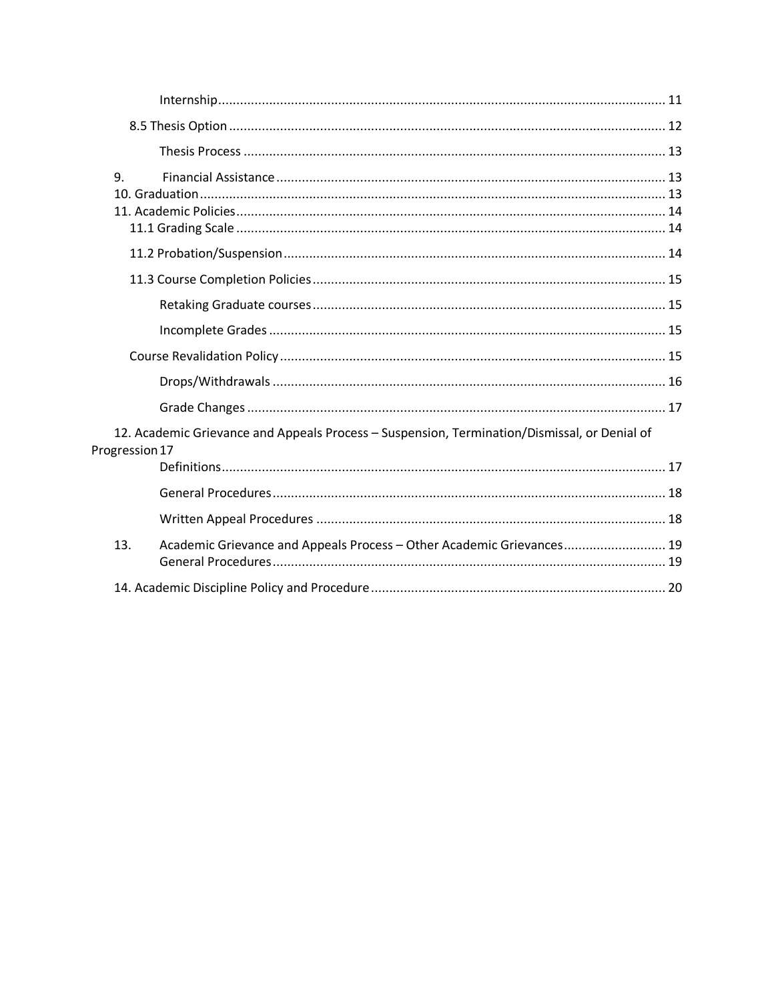| 9.                                                                                                             |
|----------------------------------------------------------------------------------------------------------------|
|                                                                                                                |
|                                                                                                                |
|                                                                                                                |
|                                                                                                                |
|                                                                                                                |
|                                                                                                                |
|                                                                                                                |
| 12. Academic Grievance and Appeals Process - Suspension, Termination/Dismissal, or Denial of<br>Progression 17 |
|                                                                                                                |
|                                                                                                                |
|                                                                                                                |
| 13.<br>Academic Grievance and Appeals Process - Other Academic Grievances 19                                   |
|                                                                                                                |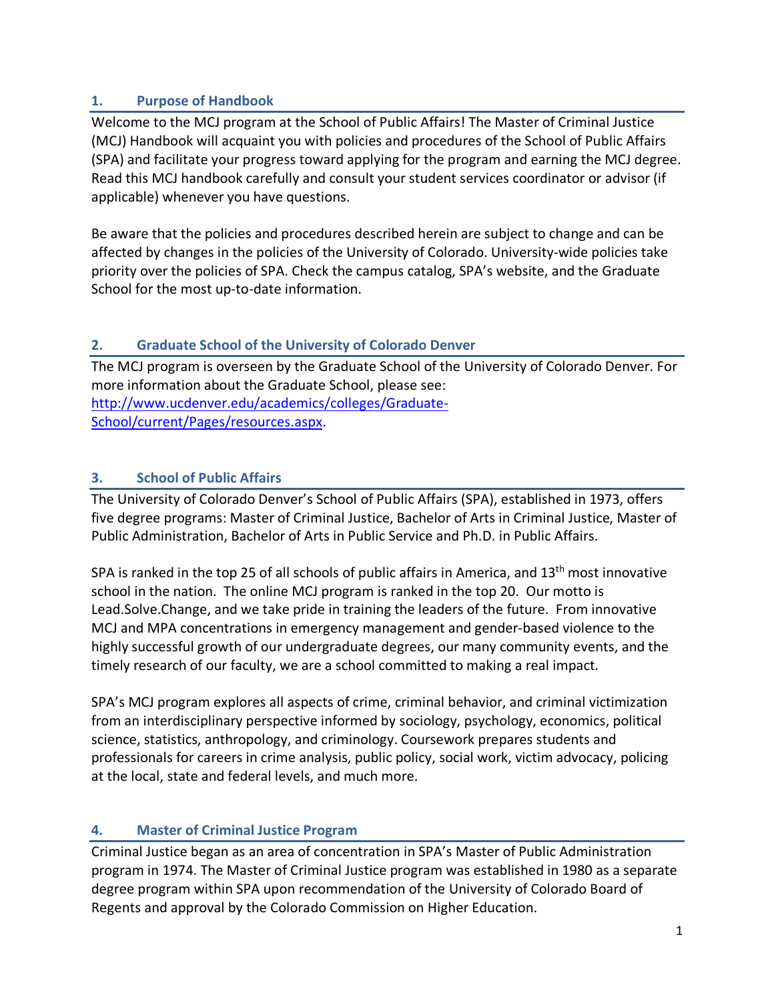## **1. Purpose of Handbook**

Welcome to the MCJ program at the School of Public Affairs! The Master of Criminal Justice (MCJ) Handbook will acquaint you with policies and procedures of the School of Public Affairs (SPA) and facilitate your progress toward applying for the program and earning the MCJ degree. Read this MCJ handbook carefully and consult your student services coordinator or advisor (if applicable) whenever you have questions.

Be aware that the policies and procedures described herein are subject to change and can be affected by changes in the policies of the University of Colorado. University-wide policies take priority over the policies of SPA. Check the campus catalog, SPA's website, and the Graduate School for the most up-to-date information.

## **2. Graduate School of the University of Colorado Denver**

The MCJ program is overseen by the Graduate School of the University of Colorado Denver. For more information about the Graduate School, please see: http://www.ucdenver.edu/academics/colleges/Graduate-School/current/Pages/resources.aspx.

## **3. School of Public Affairs**

The University of Colorado Denver's School of Public Affairs (SPA), established in 1973, offers five degree programs: Master of Criminal Justice, Bachelor of Arts in Criminal Justice, Master of Public Administration, Bachelor of Arts in Public Service and Ph.D. in Public Affairs.

SPA is ranked in the top 25 of all schools of public affairs in America, and  $13<sup>th</sup>$  most innovative school in the nation. The online MCJ program is ranked in the top 20. Our motto is Lead.Solve.Change, and we take pride in training the leaders of the future. From innovative MCJ and MPA concentrations in emergency management and gender-based violence to the highly successful growth of our undergraduate degrees, our many community events, and the timely research of our faculty, we are a school committed to making a real impact.

SPA's MCJ program explores all aspects of crime, criminal behavior, and criminal victimization from an interdisciplinary perspective informed by sociology, psychology, economics, political science, statistics, anthropology, and criminology. Coursework prepares students and professionals for careers in crime analysis, public policy, social work, victim advocacy, policing at the local, state and federal levels, and much more.

## **4. Master of Criminal Justice Program**

Criminal Justice began as an area of concentration in SPA's Master of Public Administration program in 1974. The Master of Criminal Justice program was established in 1980 as a separate degree program within SPA upon recommendation of the University of Colorado Board of Regents and approval by the Colorado Commission on Higher Education.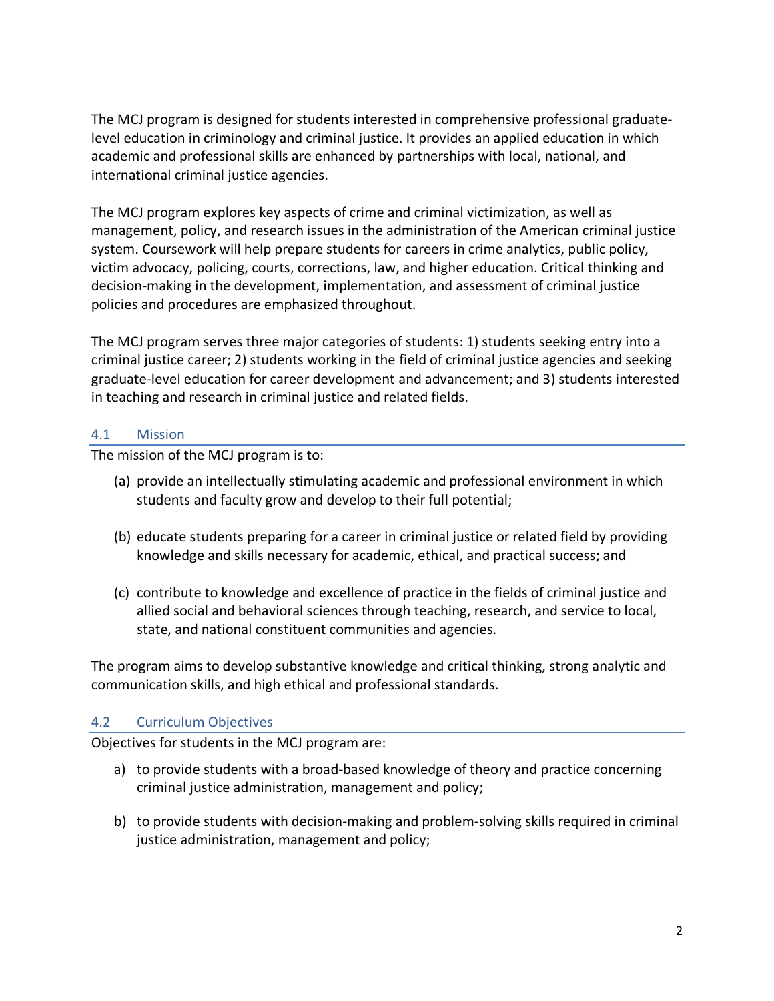The MCJ program is designed for students interested in comprehensive professional graduatelevel education in criminology and criminal justice. It provides an applied education in which academic and professional skills are enhanced by partnerships with local, national, and international criminal justice agencies.

The MCJ program explores key aspects of crime and criminal victimization, as well as management, policy, and research issues in the administration of the American criminal justice system. Coursework will help prepare students for careers in crime analytics, public policy, victim advocacy, policing, courts, corrections, law, and higher education. Critical thinking and decision-making in the development, implementation, and assessment of criminal justice policies and procedures are emphasized throughout.

The MCJ program serves three major categories of students: 1) students seeking entry into a criminal justice career; 2) students working in the field of criminal justice agencies and seeking graduate-level education for career development and advancement; and 3) students interested in teaching and research in criminal justice and related fields.

#### 4.1 Mission

The mission of the MCJ program is to:

- (a) provide an intellectually stimulating academic and professional environment in which students and faculty grow and develop to their full potential;
- (b) educate students preparing for a career in criminal justice or related field by providing knowledge and skills necessary for academic, ethical, and practical success; and
- (c) contribute to knowledge and excellence of practice in the fields of criminal justice and allied social and behavioral sciences through teaching, research, and service to local, state, and national constituent communities and agencies.

The program aims to develop substantive knowledge and critical thinking, strong analytic and communication skills, and high ethical and professional standards.

## 4.2 Curriculum Objectives

Objectives for students in the MCJ program are:

- a) to provide students with a broad-based knowledge of theory and practice concerning criminal justice administration, management and policy;
- b) to provide students with decision-making and problem-solving skills required in criminal justice administration, management and policy;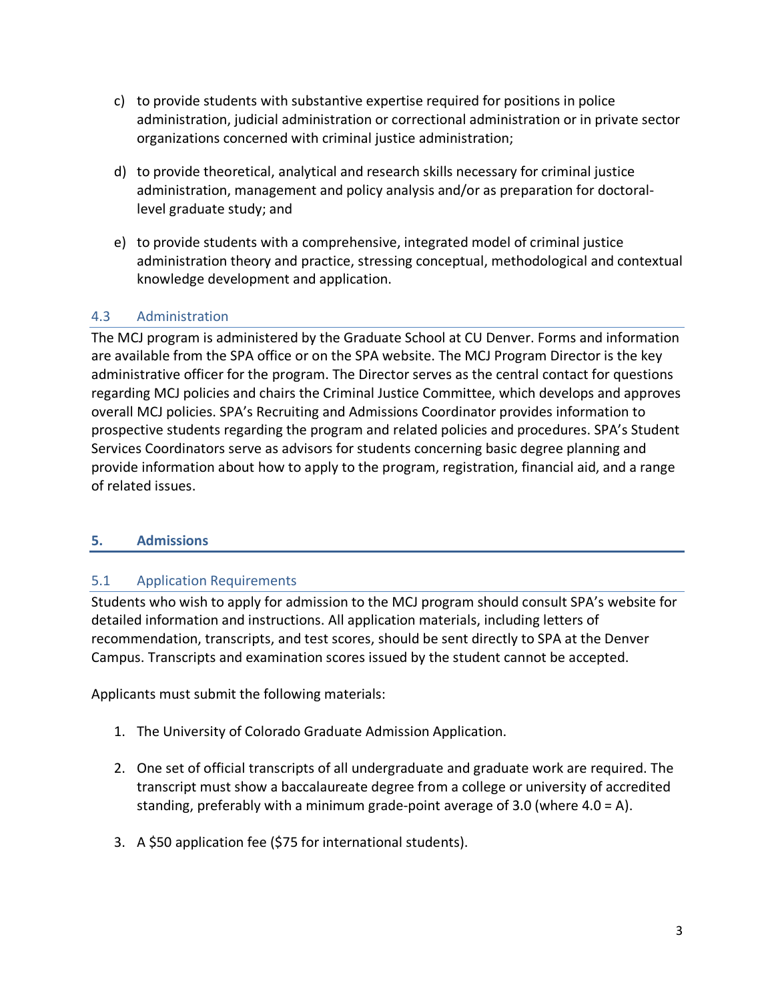- c) to provide students with substantive expertise required for positions in police administration, judicial administration or correctional administration or in private sector organizations concerned with criminal justice administration;
- d) to provide theoretical, analytical and research skills necessary for criminal justice administration, management and policy analysis and/or as preparation for doctorallevel graduate study; and
- e) to provide students with a comprehensive, integrated model of criminal justice administration theory and practice, stressing conceptual, methodological and contextual knowledge development and application.

## 4.3 Administration

The MCJ program is administered by the Graduate School at CU Denver. Forms and information are available from the SPA office or on the SPA website. The MCJ Program Director is the key administrative officer for the program. The Director serves as the central contact for questions regarding MCJ policies and chairs the Criminal Justice Committee, which develops and approves overall MCJ policies. SPA's Recruiting and Admissions Coordinator provides information to prospective students regarding the program and related policies and procedures. SPA's Student Services Coordinators serve as advisors for students concerning basic degree planning and provide information about how to apply to the program, registration, financial aid, and a range of related issues.

## **5. Admissions**

## 5.1 Application Requirements

Students who wish to apply for admission to the MCJ program should consult SPA's website for detailed information and instructions. All application materials, including letters of recommendation, transcripts, and test scores, should be sent directly to SPA at the Denver Campus. Transcripts and examination scores issued by the student cannot be accepted.

Applicants must submit the following materials:

- 1. The University of Colorado Graduate Admission Application.
- 2. One set of official transcripts of all undergraduate and graduate work are required. The transcript must show a baccalaureate degree from a college or university of accredited standing, preferably with a minimum grade-point average of 3.0 (where 4.0 = A).
- 3. A \$50 application fee (\$75 for international students).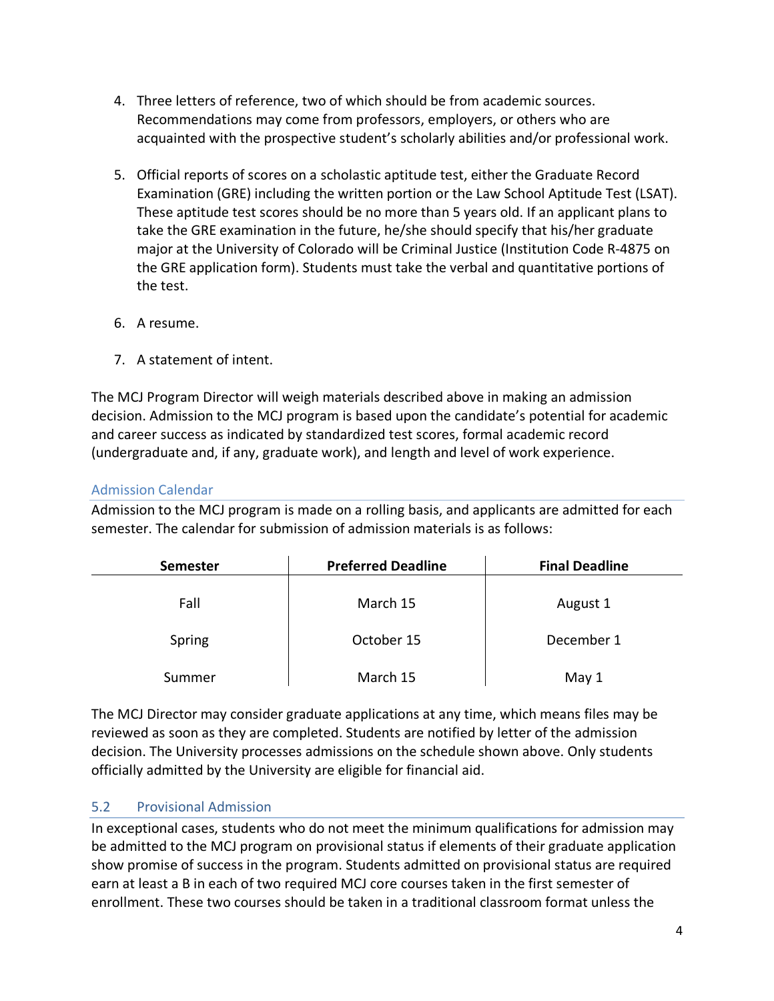- 4. Three letters of reference, two of which should be from academic sources. Recommendations may come from professors, employers, or others who are acquainted with the prospective student's scholarly abilities and/or professional work.
- 5. Official reports of scores on a scholastic aptitude test, either the Graduate Record Examination (GRE) including the written portion or the Law School Aptitude Test (LSAT). These aptitude test scores should be no more than 5 years old. If an applicant plans to take the GRE examination in the future, he/she should specify that his/her graduate major at the University of Colorado will be Criminal Justice (Institution Code R-4875 on the GRE application form). Students must take the verbal and quantitative portions of the test.
- 6. A resume.
- 7. A statement of intent.

The MCJ Program Director will weigh materials described above in making an admission decision. Admission to the MCJ program is based upon the candidate's potential for academic and career success as indicated by standardized test scores, formal academic record (undergraduate and, if any, graduate work), and length and level of work experience.

## Admission Calendar

Admission to the MCJ program is made on a rolling basis, and applicants are admitted for each semester. The calendar for submission of admission materials is as follows:

| <b>Semester</b> | <b>Preferred Deadline</b> | <b>Final Deadline</b> |
|-----------------|---------------------------|-----------------------|
| Fall            | March 15                  | August 1              |
| Spring          | October 15                | December 1            |
| Summer          | March 15                  | May 1                 |

The MCJ Director may consider graduate applications at any time, which means files may be reviewed as soon as they are completed. Students are notified by letter of the admission decision. The University processes admissions on the schedule shown above. Only students officially admitted by the University are eligible for financial aid.

## 5.2 Provisional Admission

In exceptional cases, students who do not meet the minimum qualifications for admission may be admitted to the MCJ program on provisional status if elements of their graduate application show promise of success in the program. Students admitted on provisional status are required earn at least a B in each of two required MCJ core courses taken in the first semester of enrollment. These two courses should be taken in a traditional classroom format unless the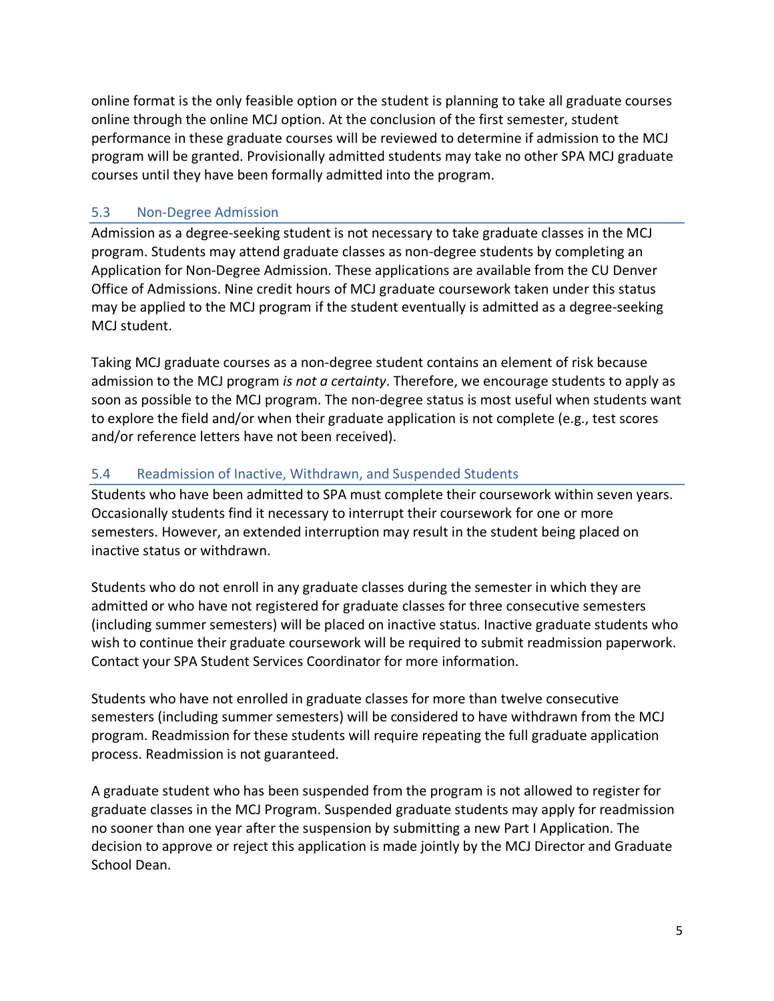online format is the only feasible option or the student is planning to take all graduate courses online through the online MCJ option. At the conclusion of the first semester, student performance in these graduate courses will be reviewed to determine if admission to the MCJ program will be granted. Provisionally admitted students may take no other SPA MCJ graduate courses until they have been formally admitted into the program.

## 5.3 Non-Degree Admission

Admission as a degree-seeking student is not necessary to take graduate classes in the MCJ program. Students may attend graduate classes as non-degree students by completing an Application for Non-Degree Admission. These applications are available from the CU Denver Office of Admissions. Nine credit hours of MCJ graduate coursework taken under this status may be applied to the MCJ program if the student eventually is admitted as a degree-seeking MCJ student.

Taking MCJ graduate courses as a non-degree student contains an element of risk because admission to the MCJ program *is not a certainty*. Therefore, we encourage students to apply as soon as possible to the MCJ program. The non-degree status is most useful when students want to explore the field and/or when their graduate application is not complete (e.g., test scores and/or reference letters have not been received).

## 5.4 Readmission of Inactive, Withdrawn, and Suspended Students

Students who have been admitted to SPA must complete their coursework within seven years. Occasionally students find it necessary to interrupt their coursework for one or more semesters. However, an extended interruption may result in the student being placed on inactive status or withdrawn.

Students who do not enroll in any graduate classes during the semester in which they are admitted or who have not registered for graduate classes for three consecutive semesters (including summer semesters) will be placed on inactive status. Inactive graduate students who wish to continue their graduate coursework will be required to submit readmission paperwork. Contact your SPA Student Services Coordinator for more information.

Students who have not enrolled in graduate classes for more than twelve consecutive semesters (including summer semesters) will be considered to have withdrawn from the MCJ program. Readmission for these students will require repeating the full graduate application process. Readmission is not guaranteed.

A graduate student who has been suspended from the program is not allowed to register for graduate classes in the MCJ Program. Suspended graduate students may apply for readmission no sooner than one year after the suspension by submitting a new Part I Application. The decision to approve or reject this application is made jointly by the MCJ Director and Graduate School Dean.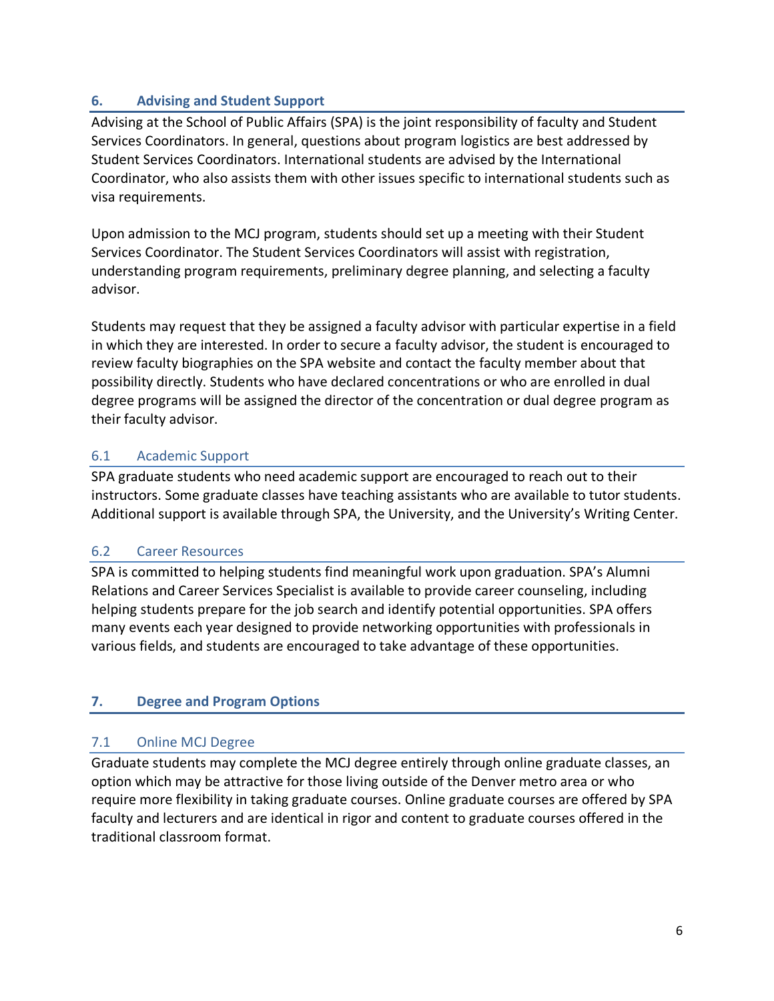## **6. Advising and Student Support**

Advising at the School of Public Affairs (SPA) is the joint responsibility of faculty and Student Services Coordinators. In general, questions about program logistics are best addressed by Student Services Coordinators. International students are advised by the International Coordinator, who also assists them with other issues specific to international students such as visa requirements.

Upon admission to the MCJ program, students should set up a meeting with their Student Services Coordinator. The Student Services Coordinators will assist with registration, understanding program requirements, preliminary degree planning, and selecting a faculty advisor.

Students may request that they be assigned a faculty advisor with particular expertise in a field in which they are interested. In order to secure a faculty advisor, the student is encouraged to review faculty biographies on the SPA website and contact the faculty member about that possibility directly. Students who have declared concentrations or who are enrolled in dual degree programs will be assigned the director of the concentration or dual degree program as their faculty advisor.

## 6.1 Academic Support

SPA graduate students who need academic support are encouraged to reach out to their instructors. Some graduate classes have teaching assistants who are available to tutor students. Additional support is available through SPA, the University, and the University's Writing Center.

## 6.2 Career Resources

SPA is committed to helping students find meaningful work upon graduation. SPA's Alumni Relations and Career Services Specialist is available to provide career counseling, including helping students prepare for the job search and identify potential opportunities. SPA offers many events each year designed to provide networking opportunities with professionals in various fields, and students are encouraged to take advantage of these opportunities.

## **7. Degree and Program Options**

## 7.1 Online MCJ Degree

Graduate students may complete the MCJ degree entirely through online graduate classes, an option which may be attractive for those living outside of the Denver metro area or who require more flexibility in taking graduate courses. Online graduate courses are offered by SPA faculty and lecturers and are identical in rigor and content to graduate courses offered in the traditional classroom format.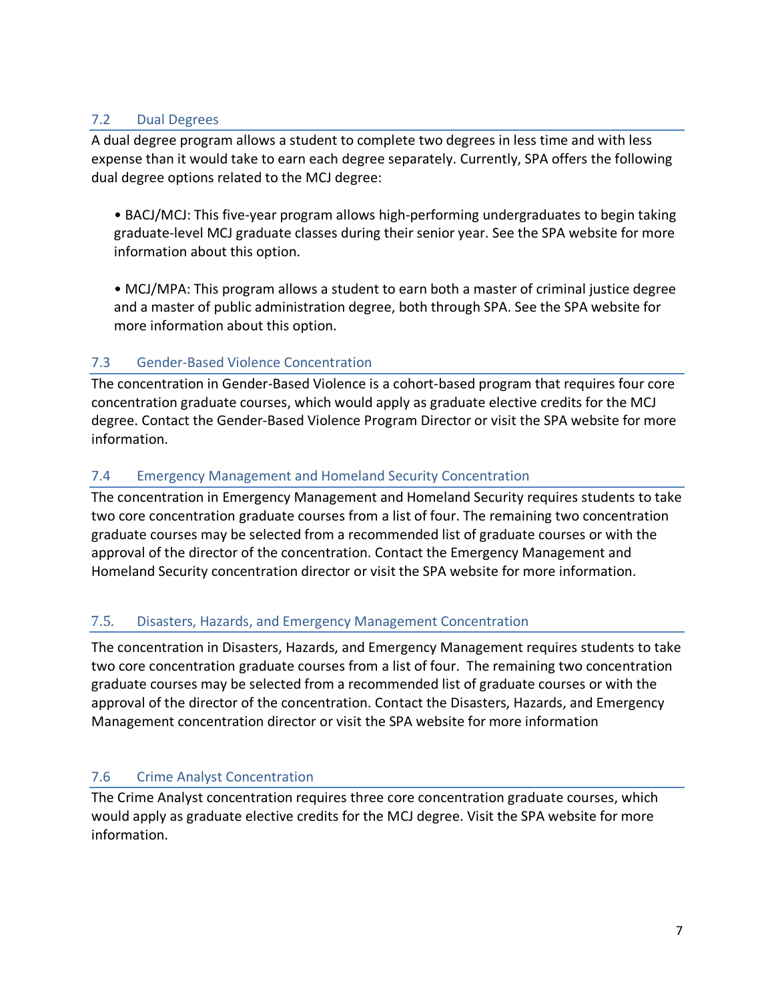## 7.2 Dual Degrees

A dual degree program allows a student to complete two degrees in less time and with less expense than it would take to earn each degree separately. Currently, SPA offers the following dual degree options related to the MCJ degree:

• BACJ/MCJ: This five-year program allows high-performing undergraduates to begin taking graduate-level MCJ graduate classes during their senior year. See the SPA website for more information about this option.

• MCJ/MPA: This program allows a student to earn both a master of criminal justice degree and a master of public administration degree, both through SPA. See the SPA website for more information about this option.

## 7.3 Gender-Based Violence Concentration

The concentration in Gender-Based Violence is a cohort-based program that requires four core concentration graduate courses, which would apply as graduate elective credits for the MCJ degree. Contact the Gender-Based Violence Program Director or visit the SPA website for more information.

## 7.4 Emergency Management and Homeland Security Concentration

The concentration in Emergency Management and Homeland Security requires students to take two core concentration graduate courses from a list of four. The remaining two concentration graduate courses may be selected from a recommended list of graduate courses or with the approval of the director of the concentration. Contact the Emergency Management and Homeland Security concentration director or visit the SPA website for more information.

## 7.5. Disasters, Hazards, and Emergency Management Concentration

The concentration in Disasters, Hazards, and Emergency Management requires students to take two core concentration graduate courses from a list of four. The remaining two concentration graduate courses may be selected from a recommended list of graduate courses or with the approval of the director of the concentration. Contact the Disasters, Hazards, and Emergency Management concentration director or visit the SPA website for more information

## 7.6 Crime Analyst Concentration

The Crime Analyst concentration requires three core concentration graduate courses, which would apply as graduate elective credits for the MCJ degree. Visit the SPA website for more information.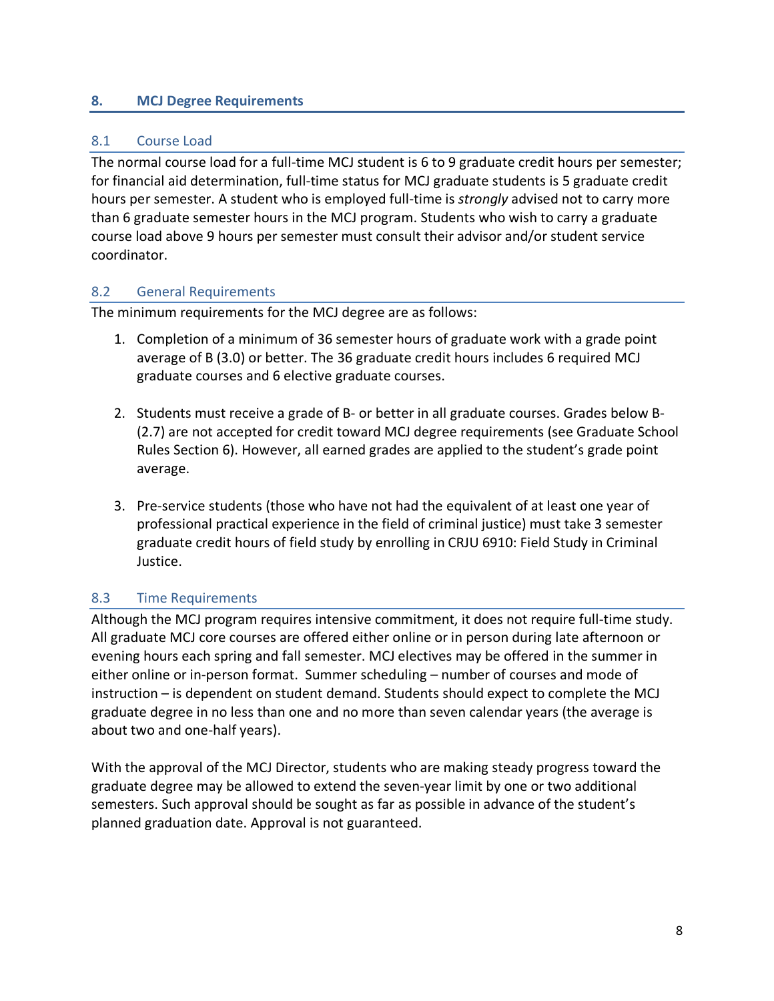## **8. MCJ Degree Requirements**

## 8.1 Course Load

The normal course load for a full-time MCJ student is 6 to 9 graduate credit hours per semester; for financial aid determination, full-time status for MCJ graduate students is 5 graduate credit hours per semester. A student who is employed full-time is *strongly* advised not to carry more than 6 graduate semester hours in the MCJ program. Students who wish to carry a graduate course load above 9 hours per semester must consult their advisor and/or student service coordinator.

## 8.2 General Requirements

The minimum requirements for the MCJ degree are as follows:

- 1. Completion of a minimum of 36 semester hours of graduate work with a grade point average of B (3.0) or better. The 36 graduate credit hours includes 6 required MCJ graduate courses and 6 elective graduate courses.
- 2. Students must receive a grade of B- or better in all graduate courses. Grades below B- (2.7) are not accepted for credit toward MCJ degree requirements (see Graduate School Rules Section 6). However, all earned grades are applied to the student's grade point average.
- 3. Pre-service students (those who have not had the equivalent of at least one year of professional practical experience in the field of criminal justice) must take 3 semester graduate credit hours of field study by enrolling in CRJU 6910: Field Study in Criminal Justice.

## 8.3 Time Requirements

Although the MCJ program requires intensive commitment, it does not require full-time study. All graduate MCJ core courses are offered either online or in person during late afternoon or evening hours each spring and fall semester. MCJ electives may be offered in the summer in either online or in-person format. Summer scheduling – number of courses and mode of instruction – is dependent on student demand. Students should expect to complete the MCJ graduate degree in no less than one and no more than seven calendar years (the average is about two and one-half years).

With the approval of the MCJ Director, students who are making steady progress toward the graduate degree may be allowed to extend the seven-year limit by one or two additional semesters. Such approval should be sought as far as possible in advance of the student's planned graduation date. Approval is not guaranteed.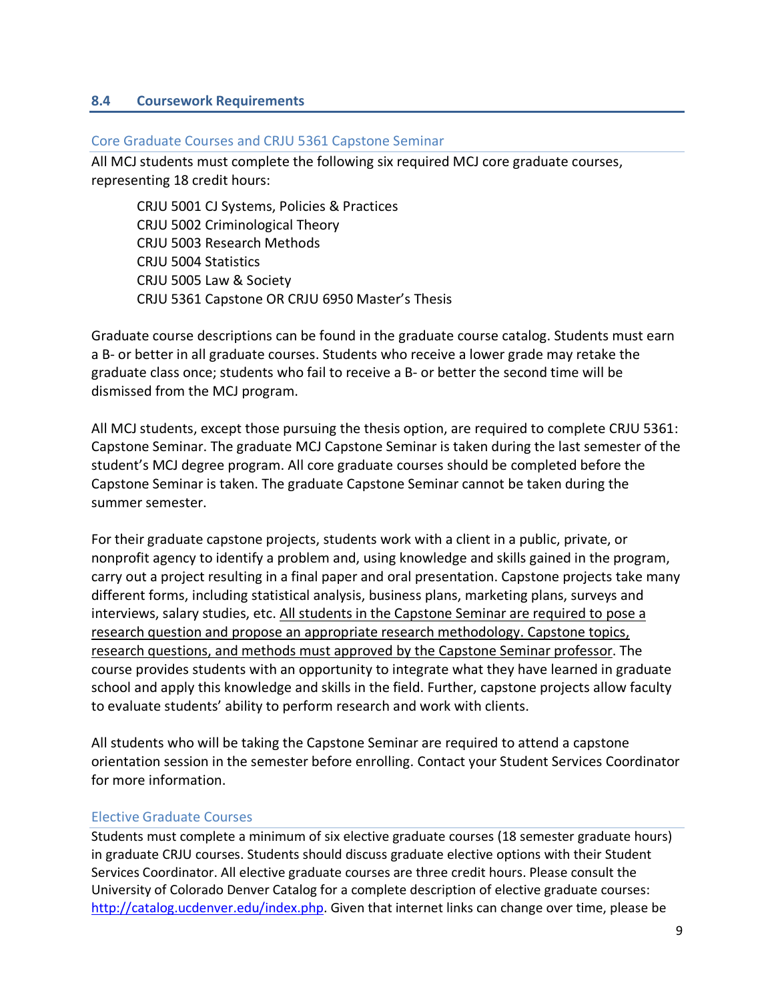#### **8.4 Coursework Requirements**

#### Core Graduate Courses and CRJU 5361 Capstone Seminar

All MCJ students must complete the following six required MCJ core graduate courses, representing 18 credit hours:

CRJU 5001 CJ Systems, Policies & Practices CRJU 5002 Criminological Theory CRJU 5003 Research Methods CRJU 5004 Statistics CRJU 5005 Law & Society CRJU 5361 Capstone OR CRJU 6950 Master's Thesis

Graduate course descriptions can be found in the graduate course catalog. Students must earn a B- or better in all graduate courses. Students who receive a lower grade may retake the graduate class once; students who fail to receive a B- or better the second time will be dismissed from the MCJ program.

All MCJ students, except those pursuing the thesis option, are required to complete CRJU 5361: Capstone Seminar. The graduate MCJ Capstone Seminar is taken during the last semester of the student's MCJ degree program. All core graduate courses should be completed before the Capstone Seminar is taken. The graduate Capstone Seminar cannot be taken during the summer semester.

For their graduate capstone projects, students work with a client in a public, private, or nonprofit agency to identify a problem and, using knowledge and skills gained in the program, carry out a project resulting in a final paper and oral presentation. Capstone projects take many different forms, including statistical analysis, business plans, marketing plans, surveys and interviews, salary studies, etc. All students in the Capstone Seminar are required to pose a research question and propose an appropriate research methodology. Capstone topics, research questions, and methods must approved by the Capstone Seminar professor. The course provides students with an opportunity to integrate what they have learned in graduate school and apply this knowledge and skills in the field. Further, capstone projects allow faculty to evaluate students' ability to perform research and work with clients.

All students who will be taking the Capstone Seminar are required to attend a capstone orientation session in the semester before enrolling. Contact your Student Services Coordinator for more information.

#### Elective Graduate Courses

Students must complete a minimum of six elective graduate courses (18 semester graduate hours) in graduate CRJU courses. Students should discuss graduate elective options with their Student Services Coordinator. All elective graduate courses are three credit hours. Please consult the University of Colorado Denver Catalog for a complete description of elective graduate courses: http://catalog.ucdenver.edu/index.php. Given that internet links can change over time, please be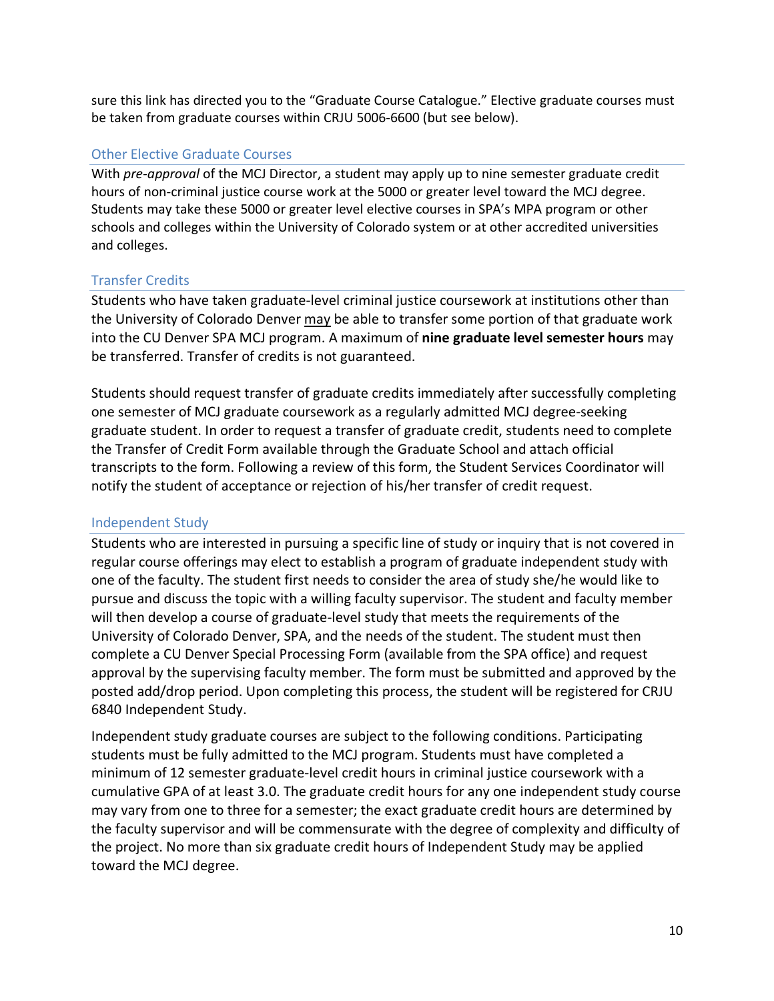sure this link has directed you to the "Graduate Course Catalogue." Elective graduate courses must be taken from graduate courses within CRJU 5006-6600 (but see below).

#### Other Elective Graduate Courses

With *pre-approval* of the MCJ Director, a student may apply up to nine semester graduate credit hours of non-criminal justice course work at the 5000 or greater level toward the MCJ degree. Students may take these 5000 or greater level elective courses in SPA's MPA program or other schools and colleges within the University of Colorado system or at other accredited universities and colleges.

#### Transfer Credits

Students who have taken graduate-level criminal justice coursework at institutions other than the University of Colorado Denver may be able to transfer some portion of that graduate work into the CU Denver SPA MCJ program. A maximum of **nine graduate level semester hours** may be transferred. Transfer of credits is not guaranteed.

Students should request transfer of graduate credits immediately after successfully completing one semester of MCJ graduate coursework as a regularly admitted MCJ degree-seeking graduate student. In order to request a transfer of graduate credit, students need to complete the Transfer of Credit Form available through the Graduate School and attach official transcripts to the form. Following a review of this form, the Student Services Coordinator will notify the student of acceptance or rejection of his/her transfer of credit request.

## Independent Study

Students who are interested in pursuing a specific line of study or inquiry that is not covered in regular course offerings may elect to establish a program of graduate independent study with one of the faculty. The student first needs to consider the area of study she/he would like to pursue and discuss the topic with a willing faculty supervisor. The student and faculty member will then develop a course of graduate-level study that meets the requirements of the University of Colorado Denver, SPA, and the needs of the student. The student must then complete a CU Denver Special Processing Form (available from the SPA office) and request approval by the supervising faculty member. The form must be submitted and approved by the posted add/drop period. Upon completing this process, the student will be registered for CRJU 6840 Independent Study.

Independent study graduate courses are subject to the following conditions. Participating students must be fully admitted to the MCJ program. Students must have completed a minimum of 12 semester graduate-level credit hours in criminal justice coursework with a cumulative GPA of at least 3.0. The graduate credit hours for any one independent study course may vary from one to three for a semester; the exact graduate credit hours are determined by the faculty supervisor and will be commensurate with the degree of complexity and difficulty of the project. No more than six graduate credit hours of Independent Study may be applied toward the MCJ degree.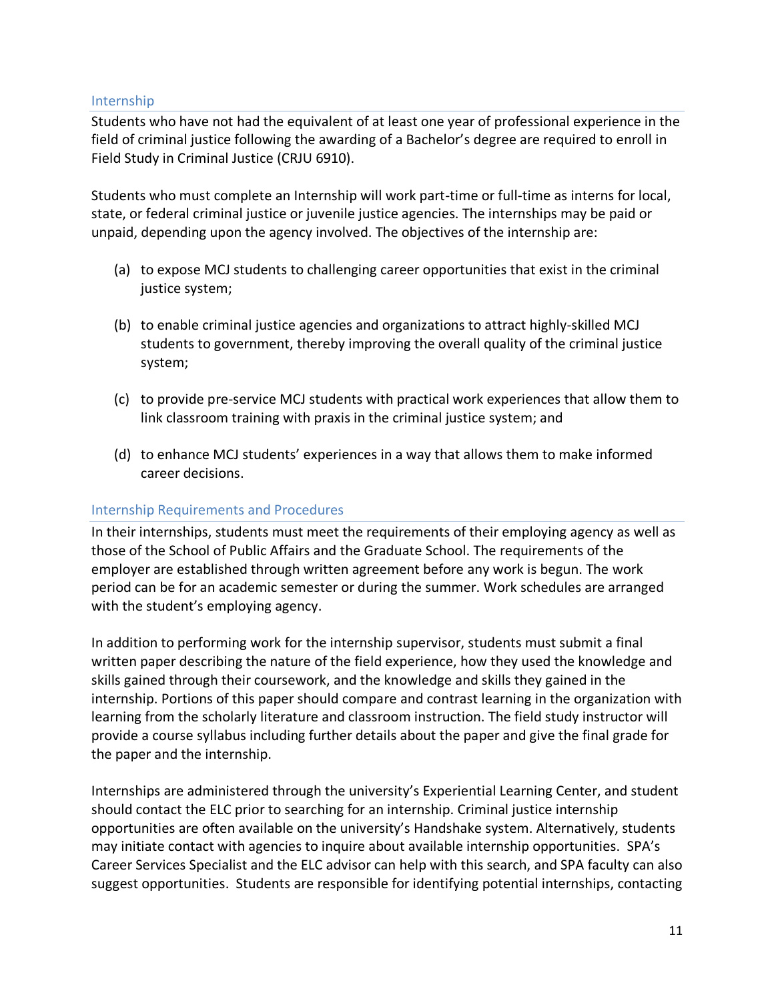#### Internship

Students who have not had the equivalent of at least one year of professional experience in the field of criminal justice following the awarding of a Bachelor's degree are required to enroll in Field Study in Criminal Justice (CRJU 6910).

Students who must complete an Internship will work part-time or full-time as interns for local, state, or federal criminal justice or juvenile justice agencies. The internships may be paid or unpaid, depending upon the agency involved. The objectives of the internship are:

- (a) to expose MCJ students to challenging career opportunities that exist in the criminal justice system;
- (b) to enable criminal justice agencies and organizations to attract highly-skilled MCJ students to government, thereby improving the overall quality of the criminal justice system;
- (c) to provide pre-service MCJ students with practical work experiences that allow them to link classroom training with praxis in the criminal justice system; and
- (d) to enhance MCJ students' experiences in a way that allows them to make informed career decisions.

## Internship Requirements and Procedures

In their internships, students must meet the requirements of their employing agency as well as those of the School of Public Affairs and the Graduate School. The requirements of the employer are established through written agreement before any work is begun. The work period can be for an academic semester or during the summer. Work schedules are arranged with the student's employing agency.

In addition to performing work for the internship supervisor, students must submit a final written paper describing the nature of the field experience, how they used the knowledge and skills gained through their coursework, and the knowledge and skills they gained in the internship. Portions of this paper should compare and contrast learning in the organization with learning from the scholarly literature and classroom instruction. The field study instructor will provide a course syllabus including further details about the paper and give the final grade for the paper and the internship.

Internships are administered through the university's Experiential Learning Center, and student should contact the ELC prior to searching for an internship. Criminal justice internship opportunities are often available on the university's Handshake system. Alternatively, students may initiate contact with agencies to inquire about available internship opportunities. SPA's Career Services Specialist and the ELC advisor can help with this search, and SPA faculty can also suggest opportunities. Students are responsible for identifying potential internships, contacting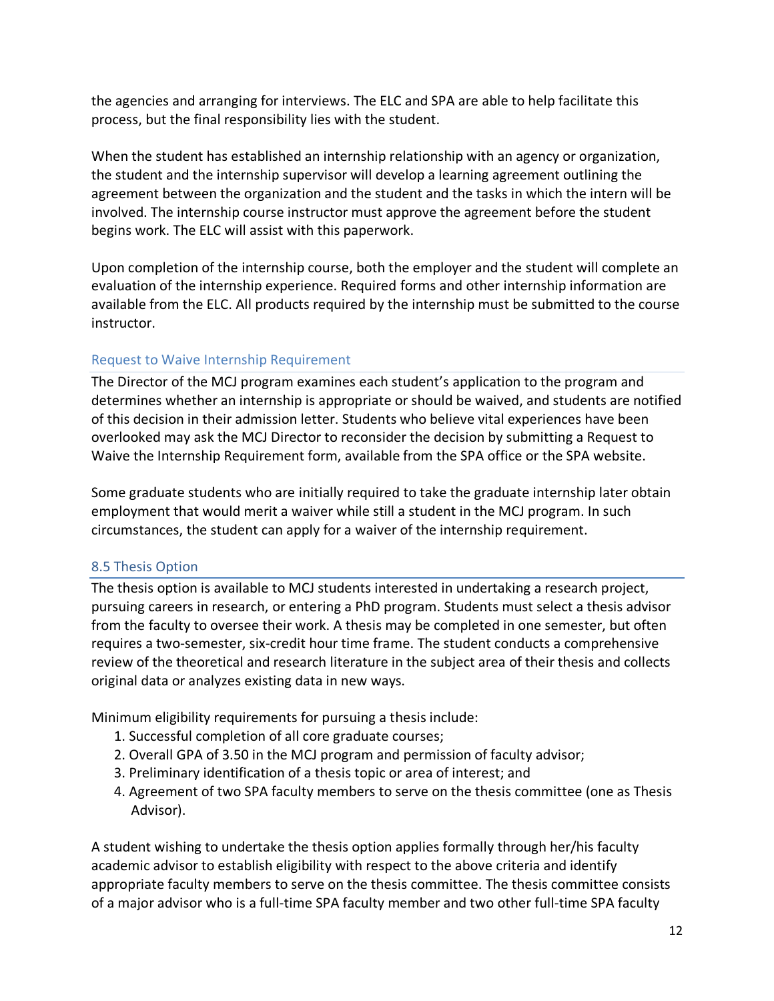the agencies and arranging for interviews. The ELC and SPA are able to help facilitate this process, but the final responsibility lies with the student.

When the student has established an internship relationship with an agency or organization, the student and the internship supervisor will develop a learning agreement outlining the agreement between the organization and the student and the tasks in which the intern will be involved. The internship course instructor must approve the agreement before the student begins work. The ELC will assist with this paperwork.

Upon completion of the internship course, both the employer and the student will complete an evaluation of the internship experience. Required forms and other internship information are available from the ELC. All products required by the internship must be submitted to the course instructor.

## Request to Waive Internship Requirement

The Director of the MCJ program examines each student's application to the program and determines whether an internship is appropriate or should be waived, and students are notified of this decision in their admission letter. Students who believe vital experiences have been overlooked may ask the MCJ Director to reconsider the decision by submitting a Request to Waive the Internship Requirement form, available from the SPA office or the SPA website.

Some graduate students who are initially required to take the graduate internship later obtain employment that would merit a waiver while still a student in the MCJ program. In such circumstances, the student can apply for a waiver of the internship requirement.

## 8.5 Thesis Option

The thesis option is available to MCJ students interested in undertaking a research project, pursuing careers in research, or entering a PhD program. Students must select a thesis advisor from the faculty to oversee their work. A thesis may be completed in one semester, but often requires a two-semester, six-credit hour time frame. The student conducts a comprehensive review of the theoretical and research literature in the subject area of their thesis and collects original data or analyzes existing data in new ways.

Minimum eligibility requirements for pursuing a thesis include:

- 1. Successful completion of all core graduate courses;
- 2. Overall GPA of 3.50 in the MCJ program and permission of faculty advisor;
- 3. Preliminary identification of a thesis topic or area of interest; and
- 4. Agreement of two SPA faculty members to serve on the thesis committee (one as Thesis Advisor).

A student wishing to undertake the thesis option applies formally through her/his faculty academic advisor to establish eligibility with respect to the above criteria and identify appropriate faculty members to serve on the thesis committee. The thesis committee consists of a major advisor who is a full-time SPA faculty member and two other full-time SPA faculty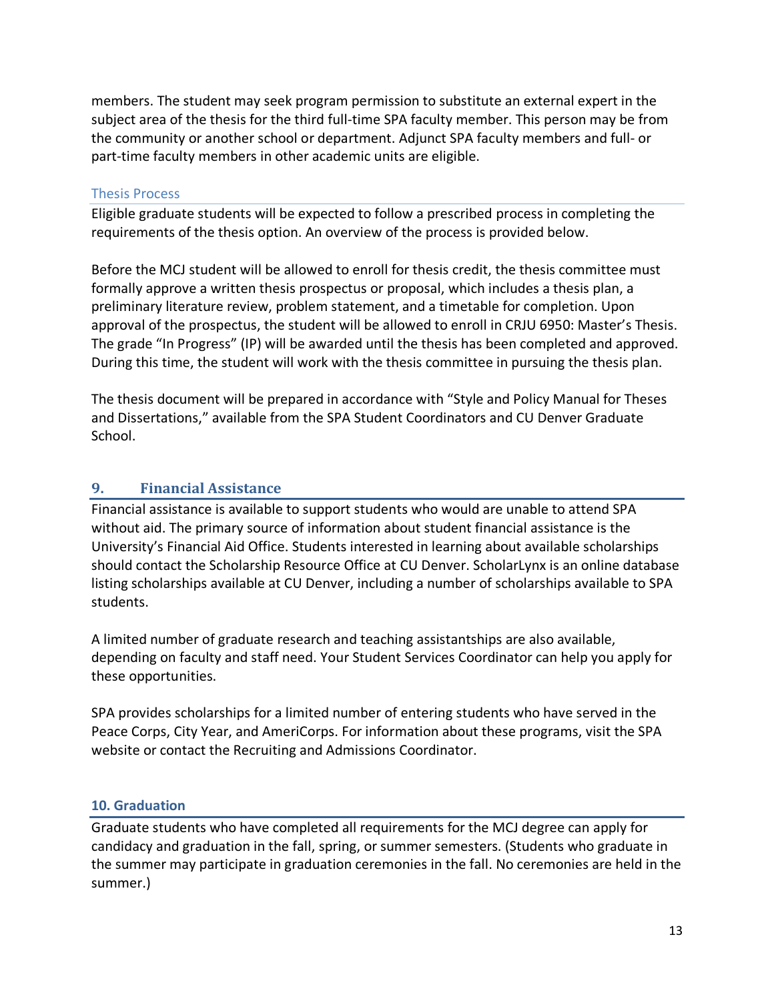members. The student may seek program permission to substitute an external expert in the subject area of the thesis for the third full-time SPA faculty member. This person may be from the community or another school or department. Adjunct SPA faculty members and full- or part-time faculty members in other academic units are eligible.

#### Thesis Process

Eligible graduate students will be expected to follow a prescribed process in completing the requirements of the thesis option. An overview of the process is provided below.

Before the MCJ student will be allowed to enroll for thesis credit, the thesis committee must formally approve a written thesis prospectus or proposal, which includes a thesis plan, a preliminary literature review, problem statement, and a timetable for completion. Upon approval of the prospectus, the student will be allowed to enroll in CRJU 6950: Master's Thesis. The grade "In Progress" (IP) will be awarded until the thesis has been completed and approved. During this time, the student will work with the thesis committee in pursuing the thesis plan.

The thesis document will be prepared in accordance with "Style and Policy Manual for Theses and Dissertations," available from the SPA Student Coordinators and CU Denver Graduate School.

## **9. Financial Assistance**

Financial assistance is available to support students who would are unable to attend SPA without aid. The primary source of information about student financial assistance is the University's Financial Aid Office. Students interested in learning about available scholarships should contact the Scholarship Resource Office at CU Denver. ScholarLynx is an online database listing scholarships available at CU Denver, including a number of scholarships available to SPA students.

A limited number of graduate research and teaching assistantships are also available, depending on faculty and staff need. Your Student Services Coordinator can help you apply for these opportunities.

SPA provides scholarships for a limited number of entering students who have served in the Peace Corps, City Year, and AmeriCorps. For information about these programs, visit the SPA website or contact the Recruiting and Admissions Coordinator.

#### **10. Graduation**

Graduate students who have completed all requirements for the MCJ degree can apply for candidacy and graduation in the fall, spring, or summer semesters. (Students who graduate in the summer may participate in graduation ceremonies in the fall. No ceremonies are held in the summer.)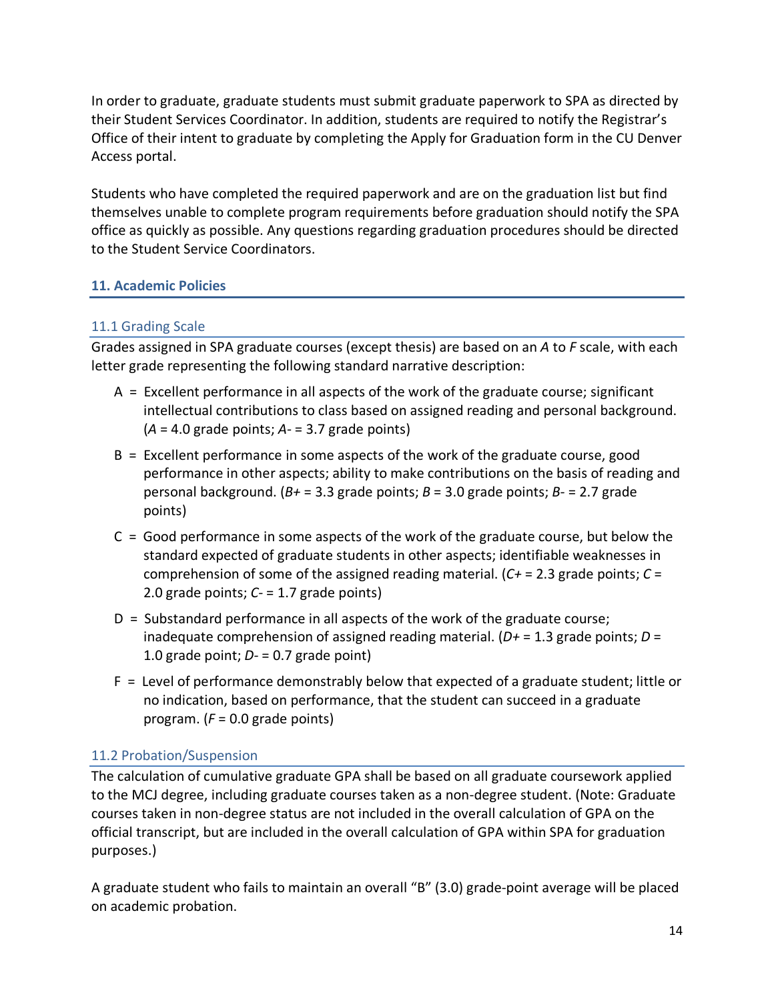In order to graduate, graduate students must submit graduate paperwork to SPA as directed by their Student Services Coordinator. In addition, students are required to notify the Registrar's Office of their intent to graduate by completing the Apply for Graduation form in the CU Denver Access portal.

Students who have completed the required paperwork and are on the graduation list but find themselves unable to complete program requirements before graduation should notify the SPA office as quickly as possible. Any questions regarding graduation procedures should be directed to the Student Service Coordinators.

## **11. Academic Policies**

## 11.1 Grading Scale

Grades assigned in SPA graduate courses (except thesis) are based on an *A* to *F* scale, with each letter grade representing the following standard narrative description:

- A = Excellent performance in all aspects of the work of the graduate course; significant intellectual contributions to class based on assigned reading and personal background. (*A* = 4.0 grade points; *A-* = 3.7 grade points)
- B = Excellent performance in some aspects of the work of the graduate course, good performance in other aspects; ability to make contributions on the basis of reading and personal background. (*B+* = 3.3 grade points; *B* = 3.0 grade points; *B-* = 2.7 grade points)
- C = Good performance in some aspects of the work of the graduate course, but below the standard expected of graduate students in other aspects; identifiable weaknesses in comprehension of some of the assigned reading material. (*C+* = 2.3 grade points; *C* = 2.0 grade points; *C-* = 1.7 grade points)
- D = Substandard performance in all aspects of the work of the graduate course; inadequate comprehension of assigned reading material. (*D+* = 1.3 grade points; *D* = 1.0 grade point; *D-* = 0.7 grade point)
- F = Level of performance demonstrably below that expected of a graduate student; little or no indication, based on performance, that the student can succeed in a graduate program. (*F* = 0.0 grade points)

## 11.2 Probation/Suspension

The calculation of cumulative graduate GPA shall be based on all graduate coursework applied to the MCJ degree, including graduate courses taken as a non-degree student. (Note: Graduate courses taken in non-degree status are not included in the overall calculation of GPA on the official transcript, but are included in the overall calculation of GPA within SPA for graduation purposes.)

A graduate student who fails to maintain an overall "B" (3.0) grade-point average will be placed on academic probation.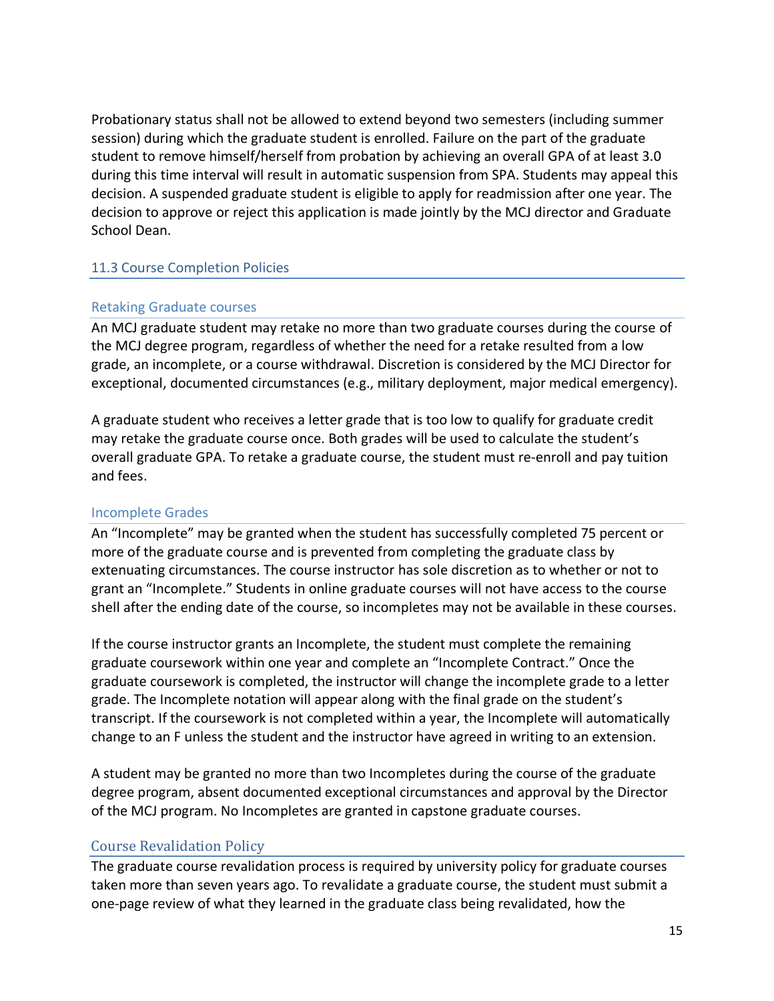Probationary status shall not be allowed to extend beyond two semesters (including summer session) during which the graduate student is enrolled. Failure on the part of the graduate student to remove himself/herself from probation by achieving an overall GPA of at least 3.0 during this time interval will result in automatic suspension from SPA. Students may appeal this decision. A suspended graduate student is eligible to apply for readmission after one year. The decision to approve or reject this application is made jointly by the MCJ director and Graduate School Dean.

#### 11.3 Course Completion Policies

#### Retaking Graduate courses

An MCJ graduate student may retake no more than two graduate courses during the course of the MCJ degree program, regardless of whether the need for a retake resulted from a low grade, an incomplete, or a course withdrawal. Discretion is considered by the MCJ Director for exceptional, documented circumstances (e.g., military deployment, major medical emergency).

A graduate student who receives a letter grade that is too low to qualify for graduate credit may retake the graduate course once. Both grades will be used to calculate the student's overall graduate GPA. To retake a graduate course, the student must re-enroll and pay tuition and fees.

#### Incomplete Grades

An "Incomplete" may be granted when the student has successfully completed 75 percent or more of the graduate course and is prevented from completing the graduate class by extenuating circumstances. The course instructor has sole discretion as to whether or not to grant an "Incomplete." Students in online graduate courses will not have access to the course shell after the ending date of the course, so incompletes may not be available in these courses.

If the course instructor grants an Incomplete, the student must complete the remaining graduate coursework within one year and complete an "Incomplete Contract." Once the graduate coursework is completed, the instructor will change the incomplete grade to a letter grade. The Incomplete notation will appear along with the final grade on the student's transcript. If the coursework is not completed within a year, the Incomplete will automatically change to an F unless the student and the instructor have agreed in writing to an extension.

A student may be granted no more than two Incompletes during the course of the graduate degree program, absent documented exceptional circumstances and approval by the Director of the MCJ program. No Incompletes are granted in capstone graduate courses.

#### **Course Revalidation Policy**

The graduate course revalidation process is required by university policy for graduate courses taken more than seven years ago. To revalidate a graduate course, the student must submit a one-page review of what they learned in the graduate class being revalidated, how the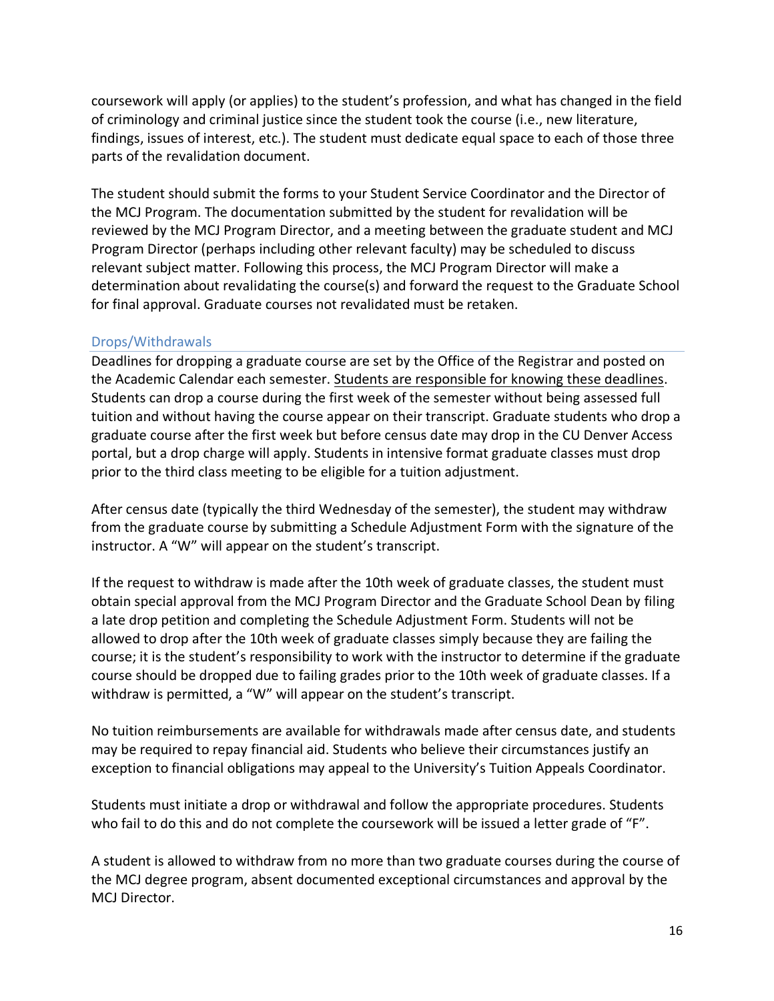coursework will apply (or applies) to the student's profession, and what has changed in the field of criminology and criminal justice since the student took the course (i.e., new literature, findings, issues of interest, etc.). The student must dedicate equal space to each of those three parts of the revalidation document.

The student should submit the forms to your Student Service Coordinator and the Director of the MCJ Program. The documentation submitted by the student for revalidation will be reviewed by the MCJ Program Director, and a meeting between the graduate student and MCJ Program Director (perhaps including other relevant faculty) may be scheduled to discuss relevant subject matter. Following this process, the MCJ Program Director will make a determination about revalidating the course(s) and forward the request to the Graduate School for final approval. Graduate courses not revalidated must be retaken.

## Drops/Withdrawals

Deadlines for dropping a graduate course are set by the Office of the Registrar and posted on the Academic Calendar each semester. Students are responsible for knowing these deadlines. Students can drop a course during the first week of the semester without being assessed full tuition and without having the course appear on their transcript. Graduate students who drop a graduate course after the first week but before census date may drop in the CU Denver Access portal, but a drop charge will apply. Students in intensive format graduate classes must drop prior to the third class meeting to be eligible for a tuition adjustment.

After census date (typically the third Wednesday of the semester), the student may withdraw from the graduate course by submitting a Schedule Adjustment Form with the signature of the instructor. A "W" will appear on the student's transcript.

If the request to withdraw is made after the 10th week of graduate classes, the student must obtain special approval from the MCJ Program Director and the Graduate School Dean by filing a late drop petition and completing the Schedule Adjustment Form. Students will not be allowed to drop after the 10th week of graduate classes simply because they are failing the course; it is the student's responsibility to work with the instructor to determine if the graduate course should be dropped due to failing grades prior to the 10th week of graduate classes. If a withdraw is permitted, a "W" will appear on the student's transcript.

No tuition reimbursements are available for withdrawals made after census date, and students may be required to repay financial aid. Students who believe their circumstances justify an exception to financial obligations may appeal to the University's Tuition Appeals Coordinator.

Students must initiate a drop or withdrawal and follow the appropriate procedures. Students who fail to do this and do not complete the coursework will be issued a letter grade of "F".

A student is allowed to withdraw from no more than two graduate courses during the course of the MCJ degree program, absent documented exceptional circumstances and approval by the MCJ Director.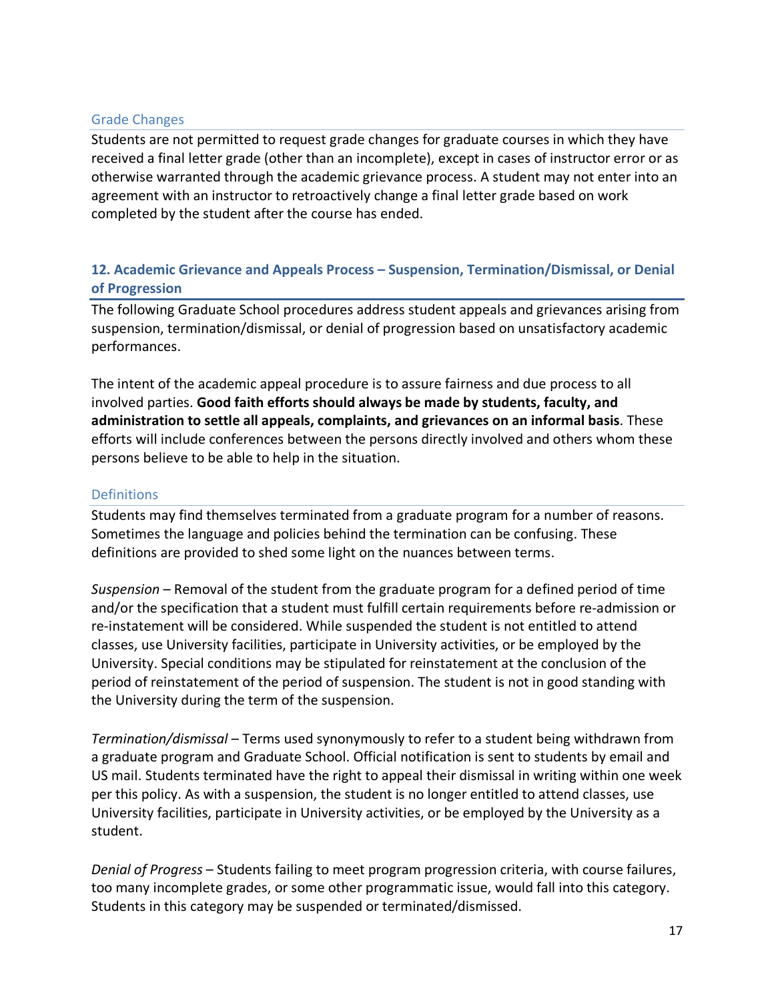#### Grade Changes

Students are not permitted to request grade changes for graduate courses in which they have received a final letter grade (other than an incomplete), except in cases of instructor error or as otherwise warranted through the academic grievance process. A student may not enter into an agreement with an instructor to retroactively change a final letter grade based on work completed by the student after the course has ended.

## **12. Academic Grievance and Appeals Process – Suspension, Termination/Dismissal, or Denial of Progression**

The following Graduate School procedures address student appeals and grievances arising from suspension, termination/dismissal, or denial of progression based on unsatisfactory academic performances.

The intent of the academic appeal procedure is to assure fairness and due process to all involved parties. **Good faith efforts should always be made by students, faculty, and administration to settle all appeals, complaints, and grievances on an informal basis**. These efforts will include conferences between the persons directly involved and others whom these persons believe to be able to help in the situation.

#### **Definitions**

Students may find themselves terminated from a graduate program for a number of reasons. Sometimes the language and policies behind the termination can be confusing. These definitions are provided to shed some light on the nuances between terms.

*Suspension* – Removal of the student from the graduate program for a defined period of time and/or the specification that a student must fulfill certain requirements before re-admission or re-instatement will be considered. While suspended the student is not entitled to attend classes, use University facilities, participate in University activities, or be employed by the University. Special conditions may be stipulated for reinstatement at the conclusion of the period of reinstatement of the period of suspension. The student is not in good standing with the University during the term of the suspension.

*Termination/dismissal* – Terms used synonymously to refer to a student being withdrawn from a graduate program and Graduate School. Official notification is sent to students by email and US mail. Students terminated have the right to appeal their dismissal in writing within one week per this policy. As with a suspension, the student is no longer entitled to attend classes, use University facilities, participate in University activities, or be employed by the University as a student.

*Denial of Progress* – Students failing to meet program progression criteria, with course failures, too many incomplete grades, or some other programmatic issue, would fall into this category. Students in this category may be suspended or terminated/dismissed.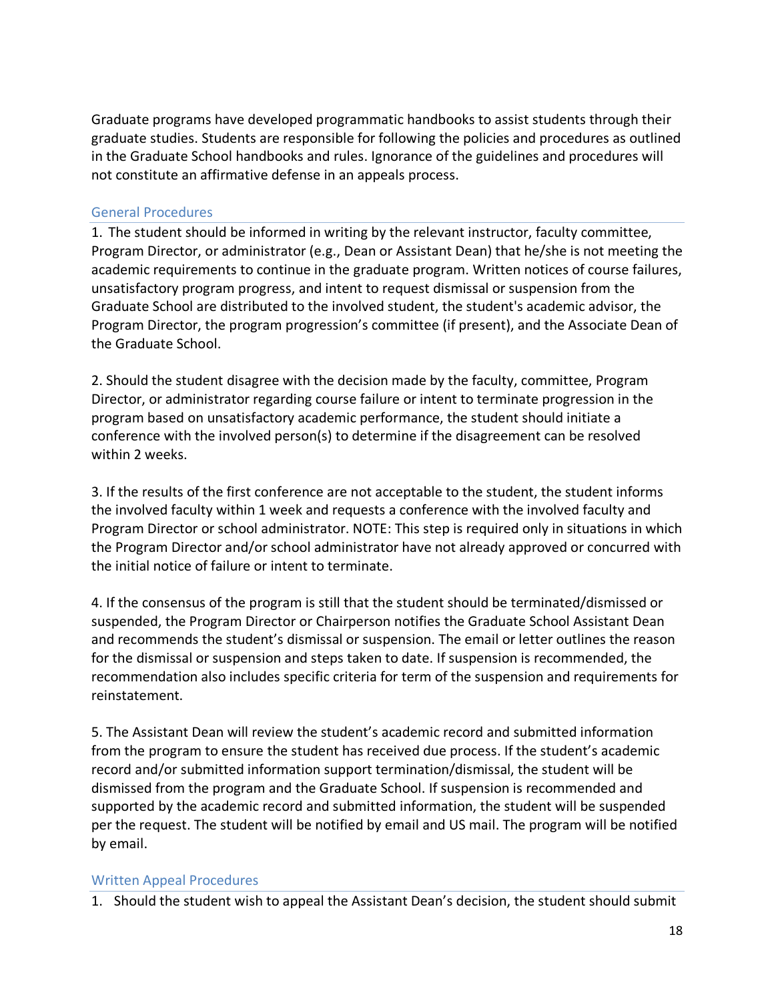Graduate programs have developed programmatic handbooks to assist students through their graduate studies. Students are responsible for following the policies and procedures as outlined in the Graduate School handbooks and rules. Ignorance of the guidelines and procedures will not constitute an affirmative defense in an appeals process.

#### General Procedures

1. The student should be informed in writing by the relevant instructor, faculty committee, Program Director, or administrator (e.g., Dean or Assistant Dean) that he/she is not meeting the academic requirements to continue in the graduate program. Written notices of course failures, unsatisfactory program progress, and intent to request dismissal or suspension from the Graduate School are distributed to the involved student, the student's academic advisor, the Program Director, the program progression's committee (if present), and the Associate Dean of the Graduate School.

2. Should the student disagree with the decision made by the faculty, committee, Program Director, or administrator regarding course failure or intent to terminate progression in the program based on unsatisfactory academic performance, the student should initiate a conference with the involved person(s) to determine if the disagreement can be resolved within 2 weeks.

3. If the results of the first conference are not acceptable to the student, the student informs the involved faculty within 1 week and requests a conference with the involved faculty and Program Director or school administrator. NOTE: This step is required only in situations in which the Program Director and/or school administrator have not already approved or concurred with the initial notice of failure or intent to terminate.

4. If the consensus of the program is still that the student should be terminated/dismissed or suspended, the Program Director or Chairperson notifies the Graduate School Assistant Dean and recommends the student's dismissal or suspension. The email or letter outlines the reason for the dismissal or suspension and steps taken to date. If suspension is recommended, the recommendation also includes specific criteria for term of the suspension and requirements for reinstatement.

5. The Assistant Dean will review the student's academic record and submitted information from the program to ensure the student has received due process. If the student's academic record and/or submitted information support termination/dismissal, the student will be dismissed from the program and the Graduate School. If suspension is recommended and supported by the academic record and submitted information, the student will be suspended per the request. The student will be notified by email and US mail. The program will be notified by email.

#### Written Appeal Procedures

1. Should the student wish to appeal the Assistant Dean's decision, the student should submit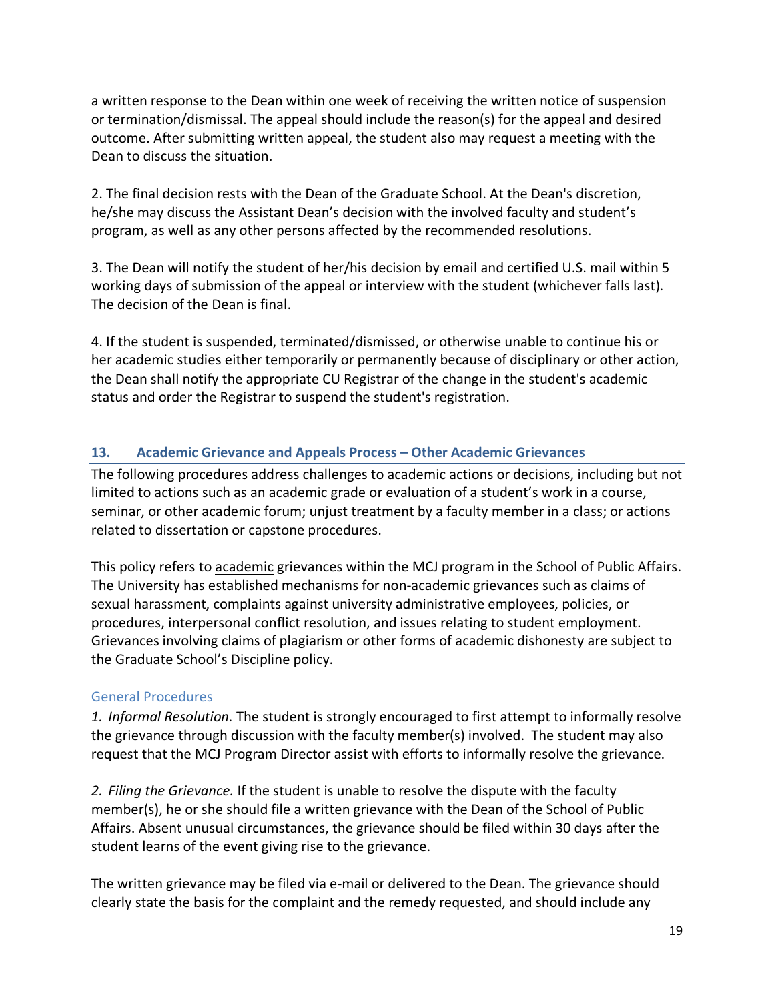a written response to the Dean within one week of receiving the written notice of suspension or termination/dismissal. The appeal should include the reason(s) for the appeal and desired outcome. After submitting written appeal, the student also may request a meeting with the Dean to discuss the situation.

2. The final decision rests with the Dean of the Graduate School. At the Dean's discretion, he/she may discuss the Assistant Dean's decision with the involved faculty and student's program, as well as any other persons affected by the recommended resolutions.

3. The Dean will notify the student of her/his decision by email and certified U.S. mail within 5 working days of submission of the appeal or interview with the student (whichever falls last). The decision of the Dean is final.

4. If the student is suspended, terminated/dismissed, or otherwise unable to continue his or her academic studies either temporarily or permanently because of disciplinary or other action, the Dean shall notify the appropriate CU Registrar of the change in the student's academic status and order the Registrar to suspend the student's registration.

## **13. Academic Grievance and Appeals Process – Other Academic Grievances**

The following procedures address challenges to academic actions or decisions, including but not limited to actions such as an academic grade or evaluation of a student's work in a course, seminar, or other academic forum; unjust treatment by a faculty member in a class; or actions related to dissertation or capstone procedures.

This policy refers to academic grievances within the MCJ program in the School of Public Affairs. The University has established mechanisms for non-academic grievances such as claims of sexual harassment, complaints against university administrative employees, policies, or procedures, interpersonal conflict resolution, and issues relating to student employment. Grievances involving claims of plagiarism or other forms of academic dishonesty are subject to the Graduate School's Discipline policy.

## General Procedures

*1. Informal Resolution.* The student is strongly encouraged to first attempt to informally resolve the grievance through discussion with the faculty member(s) involved. The student may also request that the MCJ Program Director assist with efforts to informally resolve the grievance.

*2. Filing the Grievance.* If the student is unable to resolve the dispute with the faculty member(s), he or she should file a written grievance with the Dean of the School of Public Affairs. Absent unusual circumstances, the grievance should be filed within 30 days after the student learns of the event giving rise to the grievance.

The written grievance may be filed via e-mail or delivered to the Dean. The grievance should clearly state the basis for the complaint and the remedy requested, and should include any